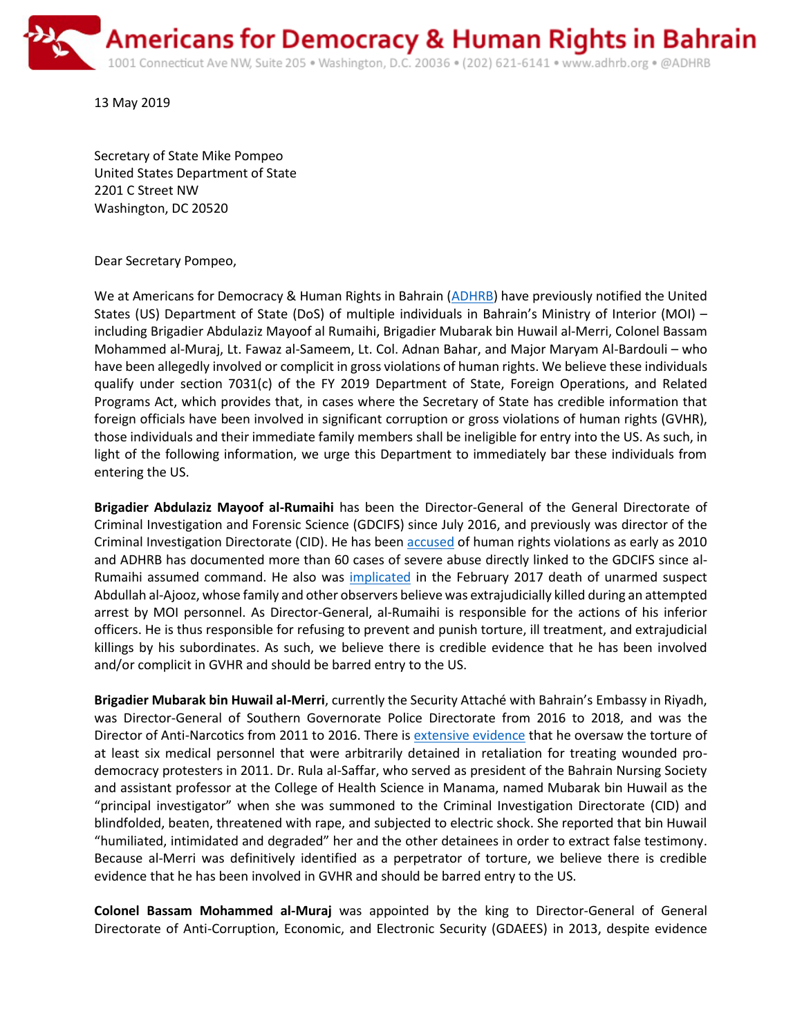

13 May 2019

Secretary of State Mike Pompeo United States Department of State 2201 C Street NW Washington, DC 20520

Dear Secretary Pompeo,

We at Americans for Democracy & Human Rights in Bahrain [\(ADHRB\)](https://www.adhrb.org/) have previously notified the United States (US) Department of State (DoS) of multiple individuals in Bahrain's Ministry of Interior (MOI) – including Brigadier Abdulaziz Mayoof al Rumaihi, Brigadier Mubarak bin Huwail al-Merri, Colonel Bassam Mohammed al-Muraj, Lt. Fawaz al-Sameem, Lt. Col. Adnan Bahar, and Major Maryam Al-Bardouli – who have been allegedly involved or complicit in gross violations of human rights. We believe these individuals qualify under section 7031(c) of the FY 2019 Department of State, Foreign Operations, and Related Programs Act, which provides that, in cases where the Secretary of State has credible information that foreign officials have been involved in significant corruption or gross violations of human rights (GVHR), those individuals and their immediate family members shall be ineligible for entry into the US. As such, in light of the following information, we urge this Department to immediately bar these individuals from entering the US.

**Brigadier Abdulaziz Mayoof al-Rumaihi** has been the Director-General of the General Directorate of Criminal Investigation and Forensic Science (GDCIFS) since July 2016, and previously was director of the Criminal Investigation Directorate (CID). He has been [accused](http://www.bahrainrights.org/en/node/3040) of human rights violations as early as 2010 and ADHRB has documented more than 60 cases of severe abuse directly linked to the GDCIFS since al-Rumaihi assumed command. He also was [implicated](https://www.newsofbahrain.com/bahrain/30616.html) in the February 2017 death of unarmed suspect Abdullah al-Ajooz, whose family and other observers believe was extrajudicially killed during an attempted arrest by MOI personnel. As Director-General, al-Rumaihi is responsible for the actions of his inferior officers. He is thus responsible for refusing to prevent and punish torture, ill treatment, and extrajudicial killings by his subordinates. As such, we believe there is credible evidence that he has been involved and/or complicit in GVHR and should be barred entry to the US.

**Brigadier Mubarak bin Huwail al-Merri**, currently the Security Attaché with Bahrain's Embassy in Riyadh, was Director-General of Southern Governorate Police Directorate from 2016 to 2018, and was the Director of Anti-Narcotics from 2011 to 2016. There is [extensive evidence](https://www.humanrightsfirst.org/blog/stories-bahrains-crackdown-dr-rula-al-saffar) that he oversaw the torture of at least six medical personnel that were arbitrarily detained in retaliation for treating wounded prodemocracy protesters in 2011. Dr. Rula al-Saffar, who served as president of the Bahrain Nursing Society and assistant professor at the College of Health Science in Manama, named Mubarak bin Huwail as the "principal investigator" when she was summoned to the Criminal Investigation Directorate (CID) and blindfolded, beaten, threatened with rape, and subjected to electric shock. She reported that bin Huwail "humiliated, intimidated and degraded" her and the other detainees in order to extract false testimony. Because al-Merri was definitively identified as a perpetrator of torture, we believe there is credible evidence that he has been involved in GVHR and should be barred entry to the US.

**Colonel Bassam Mohammed al-Muraj** was appointed by the king to Director-General of General Directorate of Anti-Corruption, Economic, and Electronic Security (GDAEES) in 2013, despite evidence